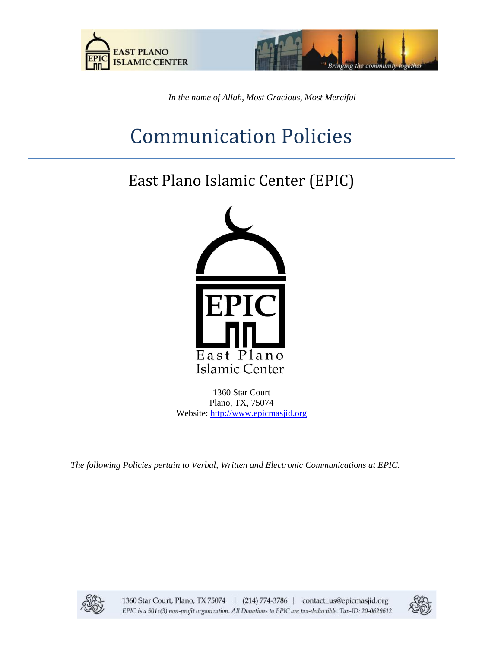



*In the name of Allah, Most Gracious, Most Merciful*

# Communication Policies

## East Plano Islamic Center (EPIC)



1360 Star Court Plano, TX, 75074 Website: [http://www.epicmasjid.org](http://www.al-iman.org/)

*The following Policies pertain to Verbal, Written and Electronic Communications at EPIC.*



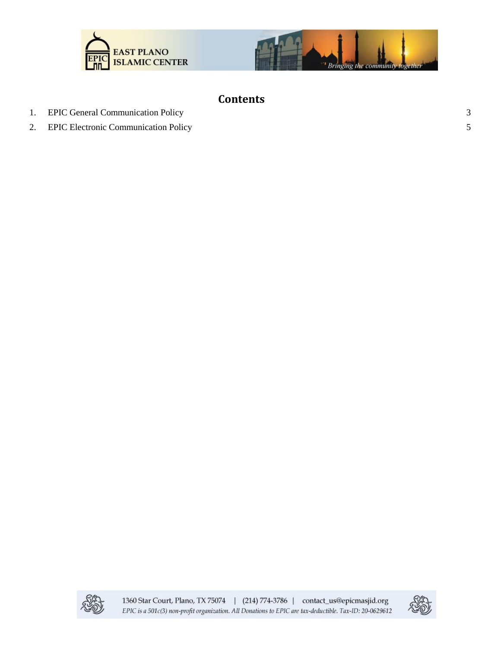



### **Contents**

- 1. [EPIC General Communication Policy](#page-2-0)
- 2. [EPIC Electronic Communication Policy](#page-4-0)



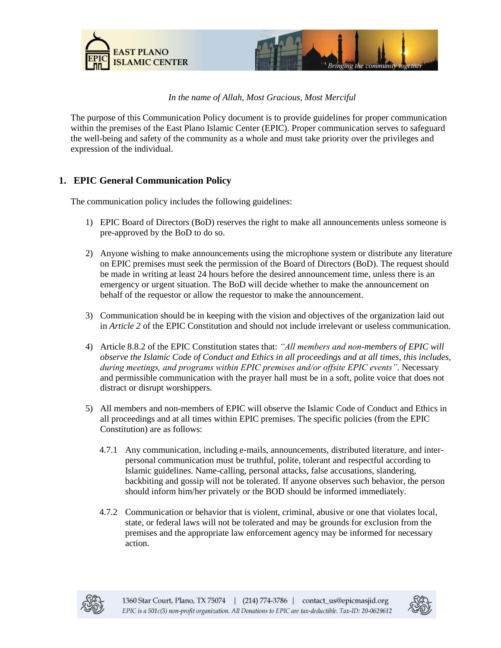



#### *In the name of Allah, Most Gracious, Most Merciful*

The purpose of this Communication Policy document is to provide guidelines for proper communication within the premises of the East Plano Islamic Center (EPIC). Proper communication serves to safeguard the well-being and safety of the community as a whole and must take priority over the privileges and expression of the individual.

#### <span id="page-2-0"></span>**1. EPIC General Communication Policy**

The communication policy includes the following guidelines:

- 1) EPIC Board of Directors (BoD) reserves the right to make all announcements unless someone is pre-approved by the BoD to do so.
- 2) Anyone wishing to make announcements using the microphone system or distribute any literature on EPIC premises must seek the permission of the Board of Directors (BoD). The request should be made in writing at least 24 hours before the desired announcement time, unless there is an emergency or urgent situation. The BoD will decide whether to make the announcement on behalf of the requestor or allow the requestor to make the announcement.
- 3) Communication should be in keeping with the vision and objectives of the organization laid out in *Article 2* of the EPIC Constitution and should not include irrelevant or useless communication.
- 4) Article 8.8.2 of the EPIC Constitution states that: *"All members and non-members of EPIC will observe the Islamic Code of Conduct and Ethics in all proceedings and at all times, this includes, during meetings, and programs within EPIC premises and/or offsite EPIC events"*. Necessary and permissible communication with the prayer hall must be in a soft, polite voice that does not distract or disrupt worshippers.
- 5) All members and non-members of EPIC will observe the Islamic Code of Conduct and Ethics in all proceedings and at all times within EPIC premises. The specific policies (from the EPIC Constitution) are as follows:
	- 4.7.1 Any communication, including e-mails, announcements, distributed literature, and interpersonal communication must be truthful, polite, tolerant and respectful according to Islamic guidelines. Name-calling, personal attacks, false accusations, slandering, backbiting and gossip will not be tolerated. If anyone observes such behavior, the person should inform him/her privately or the BOD should be informed immediately.
	- 4.7.2 Communication or behavior that is violent, criminal, abusive or one that violates local, state, or federal laws will not be tolerated and may be grounds for exclusion from the premises and the appropriate law enforcement agency may be informed for necessary action.



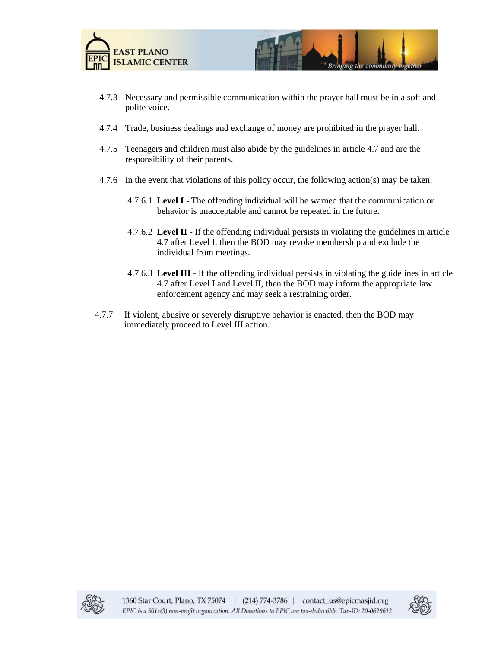



- 4.7.3 Necessary and permissible communication within the prayer hall must be in a soft and polite voice.
- 4.7.4 Trade, business dealings and exchange of money are prohibited in the prayer hall.
- 4.7.5 Teenagers and children must also abide by the guidelines in article 4.7 and are the responsibility of their parents.
- 4.7.6 In the event that violations of this policy occur, the following action(s) may be taken:
	- 4.7.6.1 **Level I** The offending individual will be warned that the communication or behavior is unacceptable and cannot be repeated in the future.
	- 4.7.6.2 **Level II** If the offending individual persists in violating the guidelines in article 4.7 after Level I, then the BOD may revoke membership and exclude the individual from meetings.
	- 4.7.6.3 **Level III** If the offending individual persists in violating the guidelines in article 4.7 after Level I and Level II, then the BOD may inform the appropriate law enforcement agency and may seek a restraining order.
- 4.7.7 If violent, abusive or severely disruptive behavior is enacted, then the BOD may immediately proceed to Level III action.



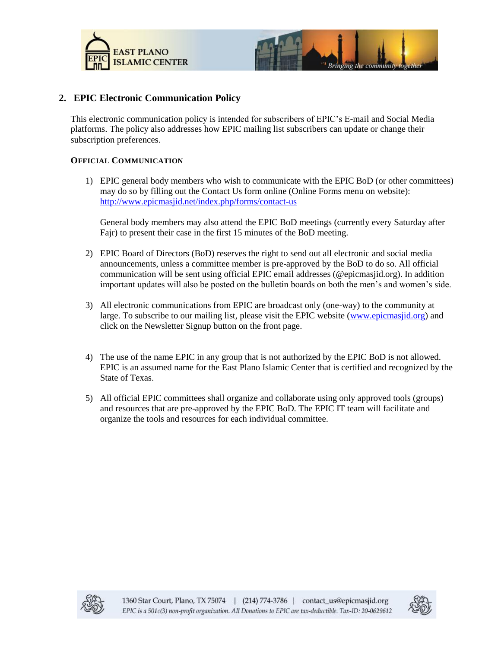



#### <span id="page-4-0"></span>**2. EPIC Electronic Communication Policy**

This electronic communication policy is intended for subscribers of EPIC's E-mail and Social Media platforms. The policy also addresses how EPIC mailing list subscribers can update or change their subscription preferences.

#### **OFFICIAL COMMUNICATION**

1) EPIC general body members who wish to communicate with the EPIC BoD (or other committees) may do so by filling out the Contact Us form online (Online Forms menu on website): <http://www.epicmasjid.net/index.php/forms/contact-us>

General body members may also attend the EPIC BoD meetings (currently every Saturday after Fajr) to present their case in the first 15 minutes of the BoD meeting.

- 2) EPIC Board of Directors (BoD) reserves the right to send out all electronic and social media announcements, unless a committee member is pre-approved by the BoD to do so. All official communication will be sent using official EPIC email addresses (@epicmasjid.org). In addition important updates will also be posted on the bulletin boards on both the men's and women's side.
- 3) All electronic communications from EPIC are broadcast only (one-way) to the community at large. To subscribe to our mailing list, please visit the EPIC website [\(www.epicmasjid.org\)](http://www.epicmasjid.org/) and click on the Newsletter Signup button on the front page.
- 4) The use of the name EPIC in any group that is not authorized by the EPIC BoD is not allowed. EPIC is an assumed name for the East Plano Islamic Center that is certified and recognized by the State of Texas.
- 5) All official EPIC committees shall organize and collaborate using only approved tools (groups) and resources that are pre-approved by the EPIC BoD. The EPIC IT team will facilitate and organize the tools and resources for each individual committee.